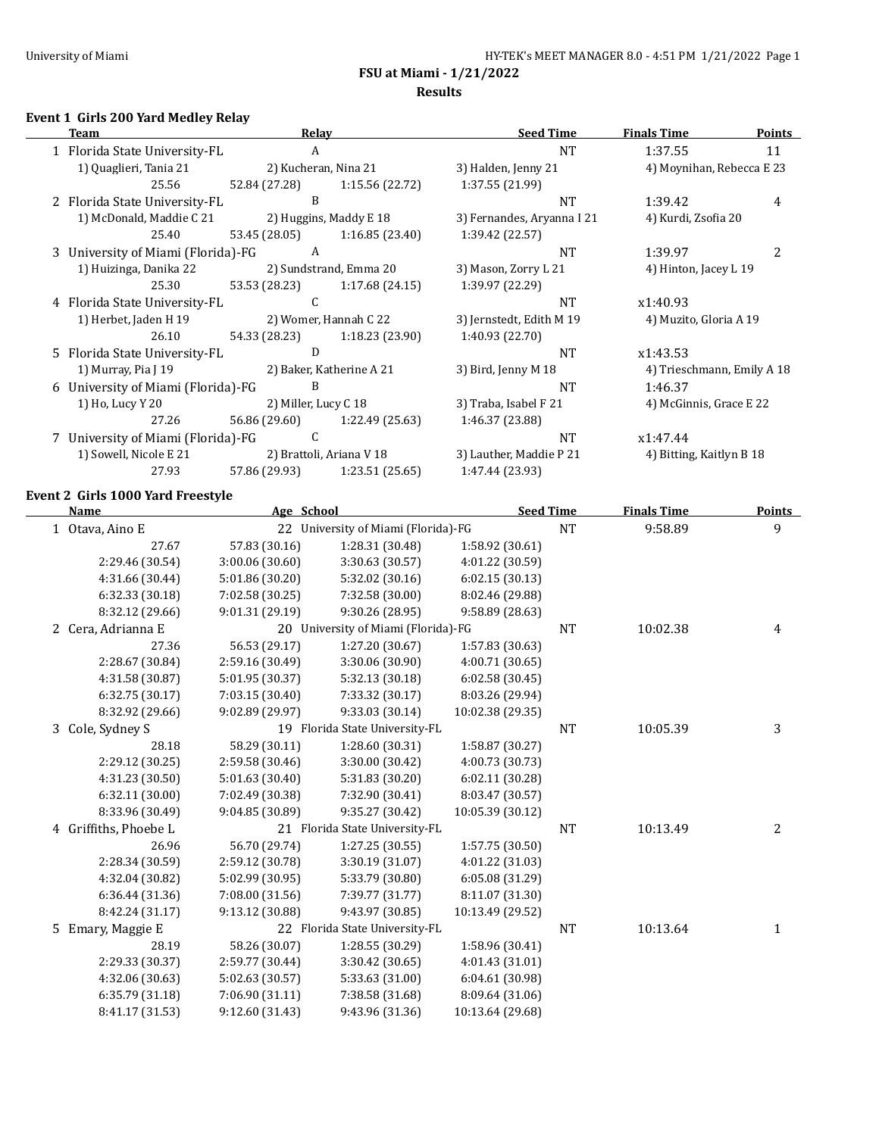**Results**

#### **Event 1 Girls 200 Yard Medley Relay**

| Team                               |               | <b>Relav</b>             | <b>Seed Time</b>           | <b>Finals Time</b>         | <b>Points</b> |
|------------------------------------|---------------|--------------------------|----------------------------|----------------------------|---------------|
| 1 Florida State University-FL      |               | A                        | <b>NT</b>                  | 1:37.55                    | 11            |
| 1) Quaglieri, Tania 21             |               | 2) Kucheran, Nina 21     | 3) Halden, Jenny 21        | 4) Moynihan, Rebecca E 23  |               |
| 25.56                              | 52.84 (27.28) | 1:15.56 (22.72)          | 1:37.55 (21.99)            |                            |               |
| 2 Florida State University-FL      |               | B                        | <b>NT</b>                  | 1:39.42                    | 4             |
| 1) McDonald, Maddie C 21           |               | 2) Huggins, Maddy E 18   | 3) Fernandes, Aryanna I 21 | 4) Kurdi, Zsofia 20        |               |
| 25.40                              | 53.45 (28.05) | 1:16.85(23.40)           | 1:39.42 (22.57)            |                            |               |
| 3 University of Miami (Florida)-FG |               | A                        | <b>NT</b>                  | 1:39.97                    |               |
| 1) Huizinga, Danika 22             |               | 2) Sundstrand, Emma 20   | 3) Mason, Zorry L 21       | 4) Hinton, Jacey L 19      |               |
| 25.30                              | 53.53 (28.23) | 1:17.68 (24.15)          | 1:39.97 (22.29)            |                            |               |
| 4 Florida State University-FL      |               | C.                       | <b>NT</b>                  | x1:40.93                   |               |
| 1) Herbet, Jaden H 19              |               | 2) Womer, Hannah C 22    | 3) Jernstedt, Edith M 19   | 4) Muzito, Gloria A 19     |               |
| 26.10                              | 54.33 (28.23) | 1:18.23 (23.90)          | 1:40.93 (22.70)            |                            |               |
| 5 Florida State University-FL      |               | D                        | <b>NT</b>                  | x1:43.53                   |               |
| 1) Murray, Pia J 19                |               | 2) Baker, Katherine A 21 | 3) Bird, Jenny M 18        | 4) Trieschmann, Emily A 18 |               |
| 6 University of Miami (Florida)-FG |               | B                        | <b>NT</b>                  | 1:46.37                    |               |
| 1) Ho, Lucy Y 20                   |               | 2) Miller, Lucy C 18     | 3) Traba, Isabel F 21      | 4) McGinnis, Grace E 22    |               |
| 27.26                              | 56.86 (29.60) | 1:22.49 (25.63)          | 1:46.37 (23.88)            |                            |               |
| 7 University of Miami (Florida)-FG |               | C                        | <b>NT</b>                  | x1:47.44                   |               |
| 1) Sowell, Nicole E 21             |               | 2) Brattoli, Ariana V 18 | 3) Lauther, Maddie P 21    | 4) Bitting, Kaitlyn B 18   |               |
| 27.93                              | 57.86 (29.93) | 1:23.51(25.65)           | 1:47.44 (23.93)            |                            |               |

#### **Event 2 Girls 1000 Yard Freestyle**

| <b>Name</b>           | Age School      |                                     | <b>Seed Time</b> |           | <b>Finals Time</b> | <b>Points</b> |
|-----------------------|-----------------|-------------------------------------|------------------|-----------|--------------------|---------------|
| 1 Otava, Aino E       |                 | 22 University of Miami (Florida)-FG |                  | <b>NT</b> | 9:58.89            | 9             |
| 27.67                 | 57.83 (30.16)   | 1:28.31 (30.48)                     | 1:58.92 (30.61)  |           |                    |               |
| 2:29.46 (30.54)       | 3:00.06 (30.60) | 3:30.63 (30.57)                     | 4:01.22 (30.59)  |           |                    |               |
| 4:31.66 (30.44)       | 5:01.86 (30.20) | 5:32.02 (30.16)                     | 6:02.15(30.13)   |           |                    |               |
| 6:32.33 (30.18)       | 7:02.58 (30.25) | 7:32.58 (30.00)                     | 8:02.46 (29.88)  |           |                    |               |
| 8:32.12 (29.66)       | 9:01.31 (29.19) | 9:30.26 (28.95)                     | 9:58.89 (28.63)  |           |                    |               |
| Cera, Adrianna E<br>2 | 20              | University of Miami (Florida)-FG    |                  | NT        | 10:02.38           | 4             |
| 27.36                 | 56.53 (29.17)   | 1:27.20 (30.67)                     | 1:57.83 (30.63)  |           |                    |               |
| 2:28.67 (30.84)       | 2:59.16 (30.49) | 3:30.06 (30.90)                     | 4:00.71 (30.65)  |           |                    |               |
| 4:31.58 (30.87)       | 5:01.95 (30.37) | 5:32.13 (30.18)                     | 6:02.58(30.45)   |           |                    |               |
| 6:32.75 (30.17)       | 7:03.15 (30.40) | 7:33.32 (30.17)                     | 8:03.26 (29.94)  |           |                    |               |
| 8:32.92 (29.66)       | 9:02.89 (29.97) | 9:33.03 (30.14)                     | 10:02.38 (29.35) |           |                    |               |
| 3 Cole, Sydney S      |                 | 19 Florida State University-FL      |                  | <b>NT</b> | 10:05.39           | 3             |
| 28.18                 | 58.29 (30.11)   | 1:28.60 (30.31)                     | 1:58.87 (30.27)  |           |                    |               |
| 2:29.12 (30.25)       | 2:59.58 (30.46) | 3:30.00 (30.42)                     | 4:00.73 (30.73)  |           |                    |               |
| 4:31.23 (30.50)       | 5:01.63 (30.40) | 5:31.83 (30.20)                     | 6:02.11 (30.28)  |           |                    |               |
| 6:32.11(30.00)        | 7:02.49 (30.38) | 7:32.90 (30.41)                     | 8:03.47 (30.57)  |           |                    |               |
| 8:33.96 (30.49)       | 9:04.85 (30.89) | 9:35.27 (30.42)                     | 10:05.39 (30.12) |           |                    |               |
| 4 Griffiths, Phoebe L |                 | 21 Florida State University-FL      |                  | NT        | 10:13.49           | 2             |
| 26.96                 | 56.70 (29.74)   | 1:27.25(30.55)                      | 1:57.75 (30.50)  |           |                    |               |
| 2:28.34 (30.59)       | 2:59.12 (30.78) | 3:30.19 (31.07)                     | 4:01.22 (31.03)  |           |                    |               |
| 4:32.04 (30.82)       | 5:02.99 (30.95) | 5:33.79 (30.80)                     | 6:05.08 (31.29)  |           |                    |               |
| 6:36.44 (31.36)       | 7:08.00 (31.56) | 7:39.77 (31.77)                     | 8:11.07 (31.30)  |           |                    |               |
| 8:42.24 (31.17)       | 9:13.12 (30.88) | 9:43.97 (30.85)                     | 10:13.49 (29.52) |           |                    |               |
| 5 Emary, Maggie E     |                 | 22 Florida State University-FL      |                  | <b>NT</b> | 10:13.64           | $\mathbf{1}$  |
| 28.19                 | 58.26 (30.07)   | 1:28.55 (30.29)                     | 1:58.96 (30.41)  |           |                    |               |
| 2:29.33 (30.37)       | 2:59.77 (30.44) | 3:30.42 (30.65)                     | 4:01.43 (31.01)  |           |                    |               |
| 4:32.06 (30.63)       | 5:02.63 (30.57) | 5:33.63 (31.00)                     | 6:04.61 (30.98)  |           |                    |               |
| 6:35.79 (31.18)       | 7:06.90 (31.11) | 7:38.58 (31.68)                     | 8:09.64 (31.06)  |           |                    |               |
| 8:41.17 (31.53)       | 9:12.60 (31.43) | 9:43.96 (31.36)                     | 10:13.64 (29.68) |           |                    |               |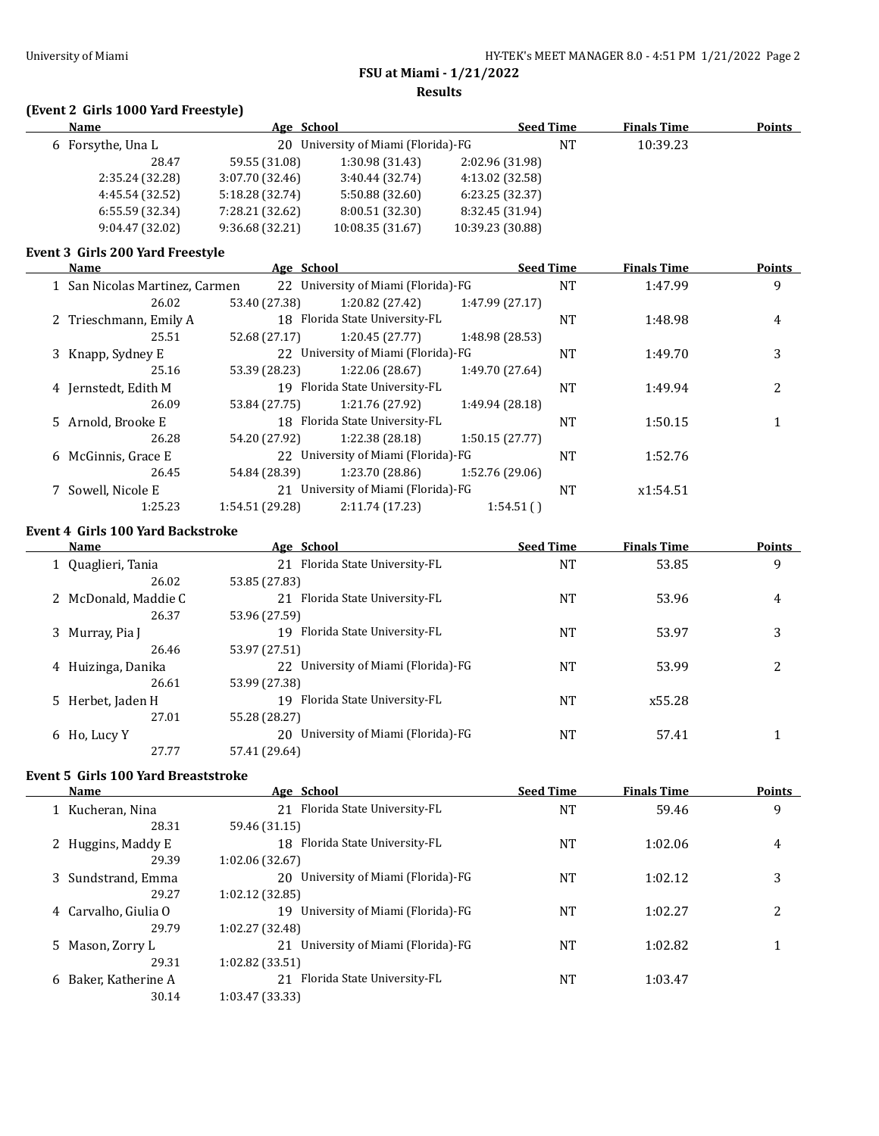**Results**

# **(Event 2 Girls 1000 Yard Freestyle)**

| <b>Name</b>       | Age School      |                                     |                  | <b>Seed Time</b> | <b>Finals Time</b> | <b>Points</b> |
|-------------------|-----------------|-------------------------------------|------------------|------------------|--------------------|---------------|
| 6 Forsythe, Una L |                 | 20 University of Miami (Florida)-FG |                  | NT               | 10:39.23           |               |
| 28.47             | 59.55 (31.08)   | 1:30.98 (31.43)                     | 2:02.96 (31.98)  |                  |                    |               |
| 2:35.24 (32.28)   | 3:07.70 (32.46) | 3:40.44(32.74)                      | 4:13.02 (32.58)  |                  |                    |               |
| 4:45.54 (32.52)   | 5:18.28 (32.74) | 5:50.88 (32.60)                     | 6:23.25(32.37)   |                  |                    |               |
| 6:55.59(32.34)    | 7:28.21 (32.62) | 8:00.51 (32.30)                     | 8:32.45 (31.94)  |                  |                    |               |
| 9:04.47(32.02)    | 9:36.68 (32.21) | 10:08.35 (31.67)                    | 10:39.23 (30.88) |                  |                    |               |

### **Event 3 Girls 200 Yard Freestyle**

| Name                           |                 | Age School                          |                 | <b>Seed Time</b> | <b>Finals Time</b> | Points |
|--------------------------------|-----------------|-------------------------------------|-----------------|------------------|--------------------|--------|
| 1 San Nicolas Martinez, Carmen |                 | 22 University of Miami (Florida)-FG |                 | <b>NT</b>        | 1:47.99            | 9      |
| 26.02                          | 53.40 (27.38)   | 1:20.82 (27.42)                     | 1:47.99(27.17)  |                  |                    |        |
| 2 Trieschmann, Emily A         |                 | 18 Florida State University-FL      |                 | <b>NT</b>        | 1:48.98            | 4      |
| 25.51                          | 52.68 (27.17)   | 1:20.45(27.77)                      | 1:48.98 (28.53) |                  |                    |        |
| 3 Knapp, Sydney E              |                 | 22 University of Miami (Florida)-FG |                 | <b>NT</b>        | 1:49.70            | 3      |
| 25.16                          | 53.39 (28.23)   | 1:22.06 (28.67)                     | 1:49.70 (27.64) |                  |                    |        |
| 4 Jernstedt, Edith M           |                 | 19 Florida State University-FL      |                 | NT               | 1:49.94            | 2      |
| 26.09                          | 53.84 (27.75)   | 1:21.76 (27.92)                     | 1:49.94 (28.18) |                  |                    |        |
| 5 Arnold, Brooke E             |                 | 18 Florida State University-FL      |                 | NT               | 1:50.15            |        |
| 26.28                          | 54.20 (27.92)   | 1:22.38(28.18)                      | 1:50.15(27.77)  |                  |                    |        |
| 6 McGinnis, Grace E            |                 | 22 University of Miami (Florida)-FG |                 | <b>NT</b>        | 1:52.76            |        |
| 26.45                          | 54.84 (28.39)   | 1:23.70 (28.86)                     | 1:52.76 (29.06) |                  |                    |        |
| Sowell, Nicole E               |                 | 21 University of Miami (Florida)-FG |                 | NT               | x1:54.51           |        |
| 1:25.23                        | 1:54.51 (29.28) | 2:11.74(17.23)                      | 1:54.51()       |                  |                    |        |

#### **Event 4 Girls 100 Yard Backstroke**

 $\mathbf{r}$ 

| <b>Name</b>          | Age School                             | <b>Seed Time</b> | <b>Finals Time</b> | <b>Points</b> |
|----------------------|----------------------------------------|------------------|--------------------|---------------|
| Quaglieri, Tania     | 21 Florida State University-FL         | NT               | 53.85              | 9             |
| 26.02                | 53.85 (27.83)                          |                  |                    |               |
| 2 McDonald, Maddie C | Florida State University-FL<br>21      | NT               | 53.96              | 4             |
| 26.37                | 53.96 (27.59)                          |                  |                    |               |
| 3 Murray, Pia J      | 19 Florida State University-FL         | NT               | 53.97              | 3             |
| 26.46                | 53.97 (27.51)                          |                  |                    |               |
| 4 Huizinga, Danika   | 22 University of Miami (Florida)-FG    | NT               | 53.99              | າ             |
| 26.61                | 53.99 (27.38)                          |                  |                    |               |
| 5 Herbet, Jaden H    | Florida State University-FL<br>19      | NT               | x55.28             |               |
| 27.01                | 55.28 (28.27)                          |                  |                    |               |
| 6 Ho, Lucy Y         | University of Miami (Florida)-FG<br>20 | NT               | 57.41              |               |
| 27.77                | 57.41 (29.64)                          |                  |                    |               |

## **Event 5 Girls 100 Yard Breaststroke**

| Name                     | Age School                             | <b>Seed Time</b> | <b>Finals Time</b> | <b>Points</b> |
|--------------------------|----------------------------------------|------------------|--------------------|---------------|
| 1 Kucheran, Nina         | 21 Florida State University-FL         | NT               | 59.46              | 9             |
| 28.31                    | 59.46 (31.15)                          |                  |                    |               |
| Huggins, Maddy E         | Florida State University-FL<br>18      | NT               | 1:02.06            | 4             |
| 29.39                    | 1:02.06 (32.67)                        |                  |                    |               |
| Sundstrand, Emma<br>3    | 20 University of Miami (Florida)-FG    | NT               | 1:02.12            | 3             |
| 29.27                    | 1:02.12(32.85)                         |                  |                    |               |
| 4 Carvalho, Giulia O     | University of Miami (Florida)-FG<br>19 | NT               | 1:02.27            | 2             |
| 29.79                    | 1:02.27 (32.48)                        |                  |                    |               |
| 5.<br>Mason, Zorry L     | 21 University of Miami (Florida)-FG    | NT               | 1:02.82            |               |
| 29.31                    | 1:02.82(33.51)                         |                  |                    |               |
| Baker, Katherine A<br>6. | Florida State University-FL<br>21      | NT               | 1:03.47            |               |
| 30.14                    | 1:03.47 (33.33)                        |                  |                    |               |
|                          |                                        |                  |                    |               |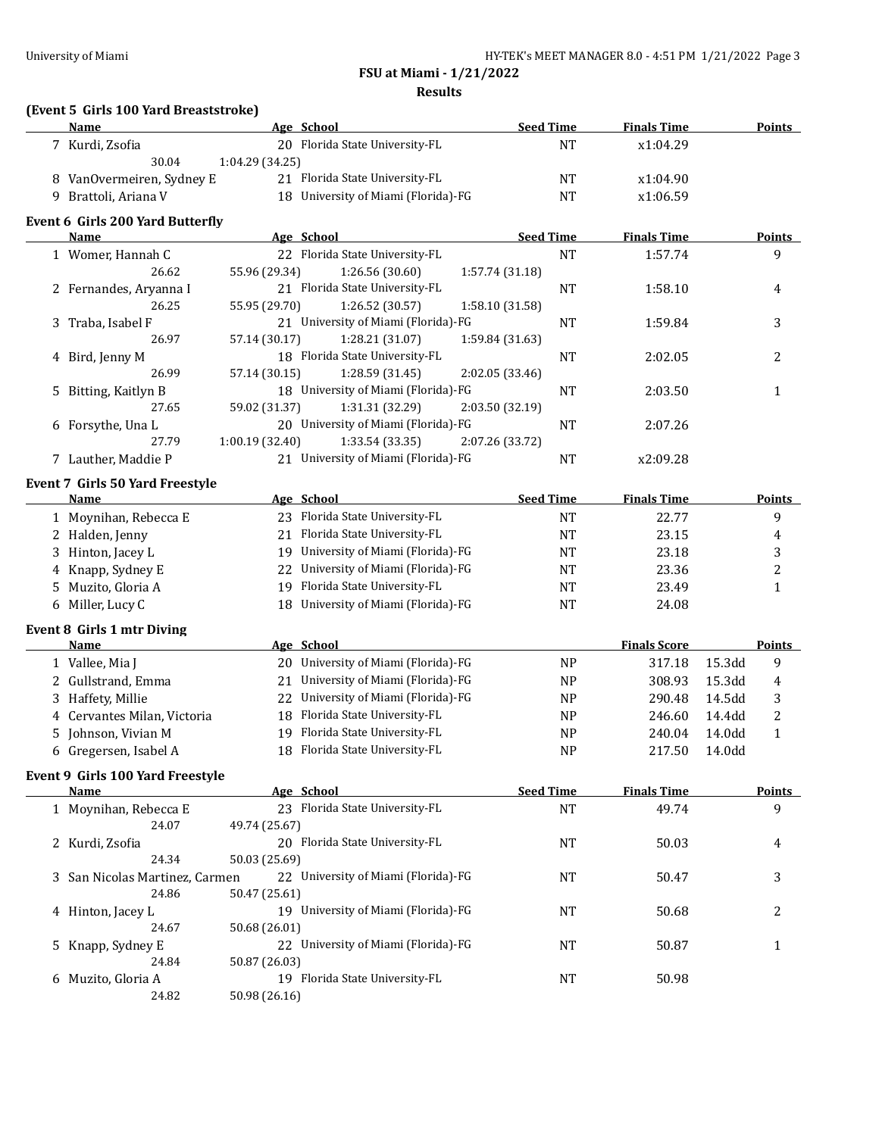**Results**

## **(Event 5 Girls 100 Yard Breaststroke)**

| Name                      | Age School                          | <b>Seed Time</b> | <b>Finals Time</b> | Points |
|---------------------------|-------------------------------------|------------------|--------------------|--------|
| 7 Kurdi, Zsofia           | 20 Florida State University-FL      | NΊ               | x1:04.29           |        |
| 30.04                     | 1:04.29(34.25)                      |                  |                    |        |
| 8 VanOvermeiren, Sydney E | 21 Florida State University-FL      | NΤ               | x1:04.90           |        |
| Brattoli, Ariana V        | 18 University of Miami (Florida)-FG | NT               | x1:06.59           |        |

#### **Event 6 Girls 200 Yard Butterfly**

| Name                   | Age School     |                                     | <b>Seed Time</b> |           | <b>Finals Time</b> | <b>Points</b> |
|------------------------|----------------|-------------------------------------|------------------|-----------|--------------------|---------------|
| 1 Womer, Hannah C      |                | 22 Florida State University-FL      |                  | <b>NT</b> | 1:57.74            | 9             |
| 26.62                  | 55.96 (29.34)  | 1:26.56(30.60)                      | 1:57.74 (31.18)  |           |                    |               |
| 2 Fernandes, Aryanna I |                | 21 Florida State University-FL      |                  | NT        | 1:58.10            | 4             |
| 26.25                  | 55.95 (29.70)  | 1:26.52 (30.57)                     | 1:58.10 (31.58)  |           |                    |               |
| 3 Traba, Isabel F      |                | 21 University of Miami (Florida)-FG |                  | NT        | 1:59.84            | 3             |
| 26.97                  | 57.14 (30.17)  | 1:28.21 (31.07)                     | 1:59.84 (31.63)  |           |                    |               |
| 4 Bird, Jenny M        |                | 18 Florida State University-FL      |                  | NT        | 2:02.05            | າ             |
| 26.99                  | 57.14 (30.15)  | 1:28.59(31.45)                      | 2:02.05(33.46)   |           |                    |               |
| 5 Bitting, Kaitlyn B   |                | 18 University of Miami (Florida)-FG |                  | NT        | 2:03.50            |               |
| 27.65                  | 59.02 (31.37)  | 1:31.31 (32.29)                     | 2:03.50 (32.19)  |           |                    |               |
| 6 Forsythe, Una L      |                | 20 University of Miami (Florida)-FG |                  | NT        | 2:07.26            |               |
| 27.79                  | 1:00.19(32.40) | 1:33.54(33.35)                      | 2:07.26 (33.72)  |           |                    |               |
| 7 Lauther. Maddie P    | 21             | University of Miami (Florida)-FG    |                  | <b>NT</b> | x2:09.28           |               |

#### **Event 7 Girls 50 Yard Freestyle**

| <b>Name</b>           |                             | <b>Seed Time</b>                                                                                                                                                                                    | <b>Finals Time</b> | <b>Points</b> |
|-----------------------|-----------------------------|-----------------------------------------------------------------------------------------------------------------------------------------------------------------------------------------------------|--------------------|---------------|
| 1 Moynihan, Rebecca E |                             | NT                                                                                                                                                                                                  | 22.77              |               |
| 2 Halden, Jenny       | Florida State University-FL | NT                                                                                                                                                                                                  | 23.15              | 4             |
| 3 Hinton, Jacey L     |                             | NT                                                                                                                                                                                                  | 23.18              |               |
| 4 Knapp, Sydney E     |                             | NT                                                                                                                                                                                                  | 23.36              |               |
| 5 Muzito, Gloria A    |                             | NT                                                                                                                                                                                                  | 23.49              |               |
| 6 Miller, Lucy C      |                             | NT                                                                                                                                                                                                  | 24.08              |               |
|                       |                             | Age School<br>23 Florida State University-FL<br>19 University of Miami (Florida)-FG<br>22 University of Miami (Florida)-FG<br>19 Florida State University-FL<br>18 University of Miami (Florida)-FG |                    |               |

#### **Event 8 Girls 1 mtr Diving**

| <b>Name</b>                 |     | Age School                          |           | <b>Finals Score</b> |                    | <b>Points</b> |
|-----------------------------|-----|-------------------------------------|-----------|---------------------|--------------------|---------------|
| 1 Vallee, Mia J             |     | 20 University of Miami (Florida)-FG | <b>NP</b> | 317.18              | 15.3 <sub>dd</sub> | 9             |
| 2 Gullstrand, Emma          |     | 21 University of Miami (Florida)-FG | NP        | 308.93              | 15.3 <sub>dd</sub> | 4             |
| 3 Haffety, Millie           |     | 22 University of Miami (Florida)-FG | <b>NP</b> | 290.48              | 14.5 <sub>dd</sub> |               |
| 4 Cervantes Milan, Victoria |     | 18 Florida State University-FL      | <b>NP</b> | 246.60              | 14.4dd             |               |
| 5 Johnson, Vivian M         | 19. | Florida State University-FL         | NP        | 240.04              | 14.0dd             |               |
| 6 Gregersen, Isabel A       |     | 18 Florida State University-FL      | <b>NP</b> | 217.50              | 14.0dd             |               |

#### **Event 9 Girls 100 Yard Freestyle**

| <b>Name</b>                    |               | Age School                          | <b>Seed Time</b> | <b>Finals Time</b> | <b>Points</b> |
|--------------------------------|---------------|-------------------------------------|------------------|--------------------|---------------|
| 1 Moynihan, Rebecca E          |               | 23 Florida State University-FL      | NT               | 49.74              | 9             |
| 24.07                          | 49.74 (25.67) |                                     |                  |                    |               |
| 2 Kurdi, Zsofia                |               | 20 Florida State University-FL      | NT               | 50.03              | 4             |
| 24.34                          | 50.03 (25.69) |                                     |                  |                    |               |
| 3 San Nicolas Martinez, Carmen |               | 22 University of Miami (Florida)-FG | NT               | 50.47              | 3             |
| 24.86                          | 50.47 (25.61) |                                     |                  |                    |               |
| 4 Hinton, Jacey L              | 19            | University of Miami (Florida)-FG    | NT               | 50.68              |               |
| 24.67                          | 50.68 (26.01) |                                     |                  |                    |               |
| 5 Knapp, Sydney E              |               | 22 University of Miami (Florida)-FG | NT               | 50.87              |               |
| 24.84                          | 50.87 (26.03) |                                     |                  |                    |               |
| 6 Muzito, Gloria A             | 19            | Florida State University-FL         | NT               | 50.98              |               |
| 24.82                          | 50.98 (26.16) |                                     |                  |                    |               |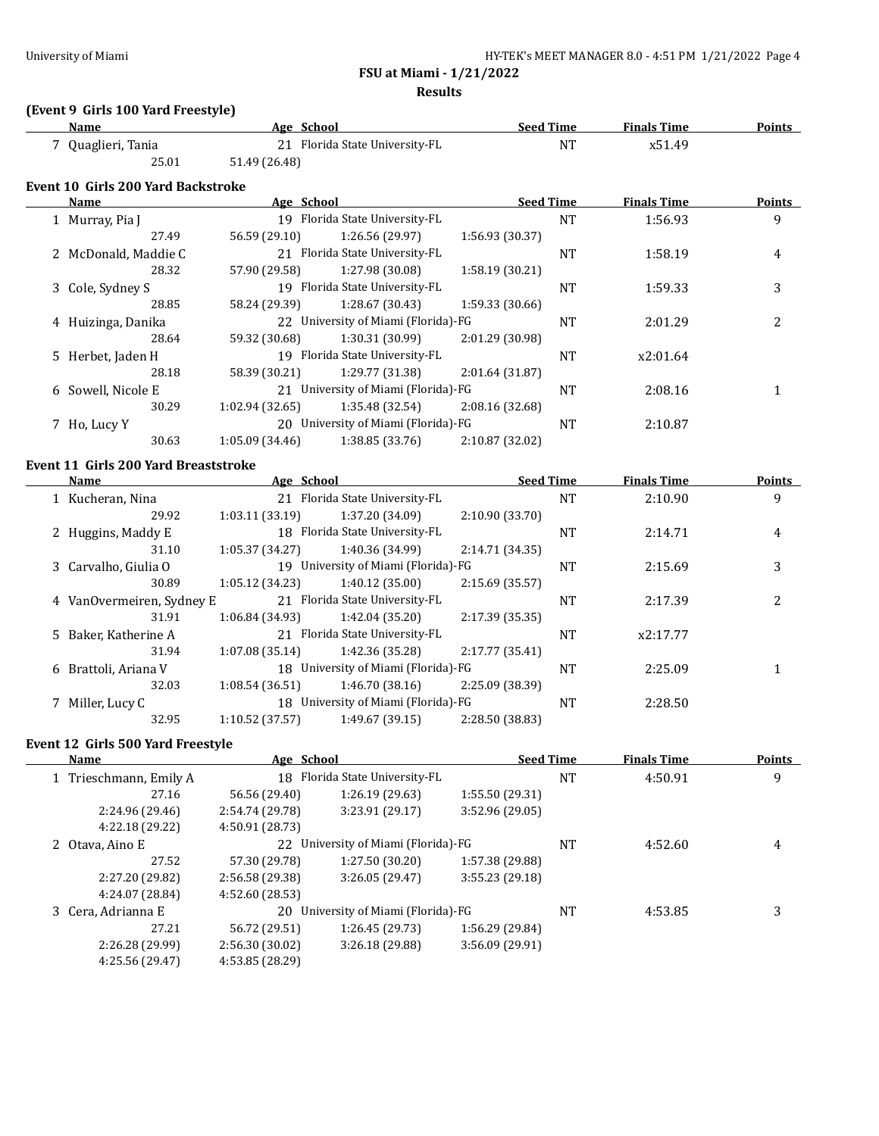**Results**

## **(Event 9 Girls 100 Yard Freestyle)**

| Name             | Age School                     | <b>Seed Time</b> | <b>Finals Time</b> | <b>Points</b> |
|------------------|--------------------------------|------------------|--------------------|---------------|
| Quaglieri, Tania | 21 Florida State University-FL | NT               | x51.49             |               |
| 25.01            | 51.49 (26.48)                  |                  |                    |               |

### **Event 10 Girls 200 Yard Backstroke**

| <b>Name</b>          | Age School     |                                     |                 | <b>Seed Time</b> | <b>Finals Time</b> | <b>Points</b> |
|----------------------|----------------|-------------------------------------|-----------------|------------------|--------------------|---------------|
| 1 Murray, Pia J      |                | 19 Florida State University-FL      |                 | NT               | 1:56.93            | 9             |
| 27.49                | 56.59 (29.10)  | 1:26.56 (29.97)                     | 1:56.93 (30.37) |                  |                    |               |
| 2 McDonald, Maddie C |                | 21 Florida State University-FL      |                 | NT               | 1:58.19            | 4             |
| 28.32                | 57.90 (29.58)  | 1:27.98 (30.08)                     | 1:58.19(30.21)  |                  |                    |               |
| 3 Cole, Sydney S     |                | 19 Florida State University-FL      |                 | NT               | 1:59.33            | 3             |
| 28.85                | 58.24 (29.39)  | 1:28.67 (30.43)                     | 1:59.33(30.66)  |                  |                    |               |
| 4 Huizinga, Danika   |                | 22 University of Miami (Florida)-FG |                 | NT               | 2:01.29            | 2             |
| 28.64                | 59.32 (30.68)  | 1:30.31 (30.99)                     | 2:01.29 (30.98) |                  |                    |               |
| 5 Herbet, Jaden H    |                | 19 Florida State University-FL      |                 | NT               | x2:01.64           |               |
| 28.18                | 58.39 (30.21)  | 1:29.77 (31.38)                     | 2:01.64(31.87)  |                  |                    |               |
| 6 Sowell, Nicole E   | 21             | University of Miami (Florida)-FG    |                 | NT               | 2:08.16            |               |
| 30.29                | 1:02.94(32.65) | 1:35.48 (32.54)                     | 2:08.16 (32.68) |                  |                    |               |
| 7 Ho, Lucy Y         | 20             | University of Miami (Florida)-FG    |                 | NT               | 2:10.87            |               |
| 30.63                | 1:05.09(34.46) | 1:38.85 (33.76)                     | 2:10.87 (32.02) |                  |                    |               |

### **Event 11 Girls 200 Yard Breaststroke**

| <b>Name</b>               | Age School     |                                     | <b>Seed Time</b> |           | <b>Finals Time</b> | Points |
|---------------------------|----------------|-------------------------------------|------------------|-----------|--------------------|--------|
| 1 Kucheran, Nina          |                | 21 Florida State University-FL      |                  | <b>NT</b> | 2:10.90            | 9      |
| 29.92                     | 1:03.11(33.19) | 1:37.20 (34.09)                     | 2:10.90 (33.70)  |           |                    |        |
| 2 Huggins, Maddy E        |                | 18 Florida State University-FL      |                  | NT        | 2:14.71            | 4      |
| 31.10                     | 1:05.37(34.27) | 1:40.36 (34.99)                     | 2:14.71 (34.35)  |           |                    |        |
| 3 Carvalho, Giulia O      |                | 19 University of Miami (Florida)-FG |                  | NT        | 2:15.69            | 3      |
| 30.89                     | 1:05.12(34.23) | 1:40.12 (35.00)                     | 2:15.69(35.57)   |           |                    |        |
| 4 VanOvermeiren, Sydney E |                | 21 Florida State University-FL      |                  | <b>NT</b> | 2:17.39            | っ      |
| 31.91                     | 1:06.84(34.93) | 1:42.04 (35.20)                     | 2:17.39 (35.35)  |           |                    |        |
| 5 Baker, Katherine A      |                | 21 Florida State University-FL      |                  | NT        | x2:17.77           |        |
| 31.94                     | 1:07.08(35.14) | 1:42.36 (35.28)                     | 2:17.77 (35.41)  |           |                    |        |
| 6 Brattoli, Ariana V      |                | 18 University of Miami (Florida)-FG |                  | NT        | 2:25.09            |        |
| 32.03                     | 1:08.54(36.51) | 1:46.70(38.16)                      | 2:25.09 (38.39)  |           |                    |        |
| 7 Miller, Lucy C          |                | 18 University of Miami (Florida)-FG |                  | NT        | 2:28.50            |        |
| 32.95                     | 1:10.52(37.57) | 1:49.67 (39.15)                     | 2:28.50 (38.83)  |           |                    |        |

#### **Event 12 Girls 500 Yard Freestyle**

 $\overline{\phantom{a}}$ 

| Name                   | Age School      |                                     |                 | <b>Seed Time</b> | <b>Finals Time</b> | <b>Points</b> |
|------------------------|-----------------|-------------------------------------|-----------------|------------------|--------------------|---------------|
| 1 Trieschmann, Emily A | 18              | Florida State University-FL         |                 | NT               | 4:50.91            | 9             |
| 27.16                  | 56.56 (29.40)   | 1:26.19 (29.63)                     | 1:55.50 (29.31) |                  |                    |               |
| 2:24.96 (29.46)        | 2:54.74 (29.78) | 3:23.91 (29.17)                     | 3:52.96 (29.05) |                  |                    |               |
| 4:22.18 (29.22)        | 4:50.91 (28.73) |                                     |                 |                  |                    |               |
| 2 Otava, Aino E        |                 | 22 University of Miami (Florida)-FG |                 | <b>NT</b>        | 4:52.60            | 4             |
| 27.52                  | 57.30 (29.78)   | 1:27.50(30.20)                      | 1:57.38 (29.88) |                  |                    |               |
| 2:27.20 (29.82)        | 2:56.58 (29.38) | 3:26.05(29.47)                      | 3:55.23(29.18)  |                  |                    |               |
| 4:24.07 (28.84)        | 4:52.60 (28.53) |                                     |                 |                  |                    |               |
| 3 Cera, Adrianna E     | 20              | University of Miami (Florida)-FG    |                 | NT               | 4:53.85            |               |
| 27.21                  | 56.72 (29.51)   | 1:26.45(29.73)                      | 1:56.29 (29.84) |                  |                    |               |
| 2:26.28 (29.99)        | 2:56.30 (30.02) | 3:26.18(29.88)                      | 3:56.09 (29.91) |                  |                    |               |
| 4:25.56 (29.47)        | 4:53.85 (28.29) |                                     |                 |                  |                    |               |
|                        |                 |                                     |                 |                  |                    |               |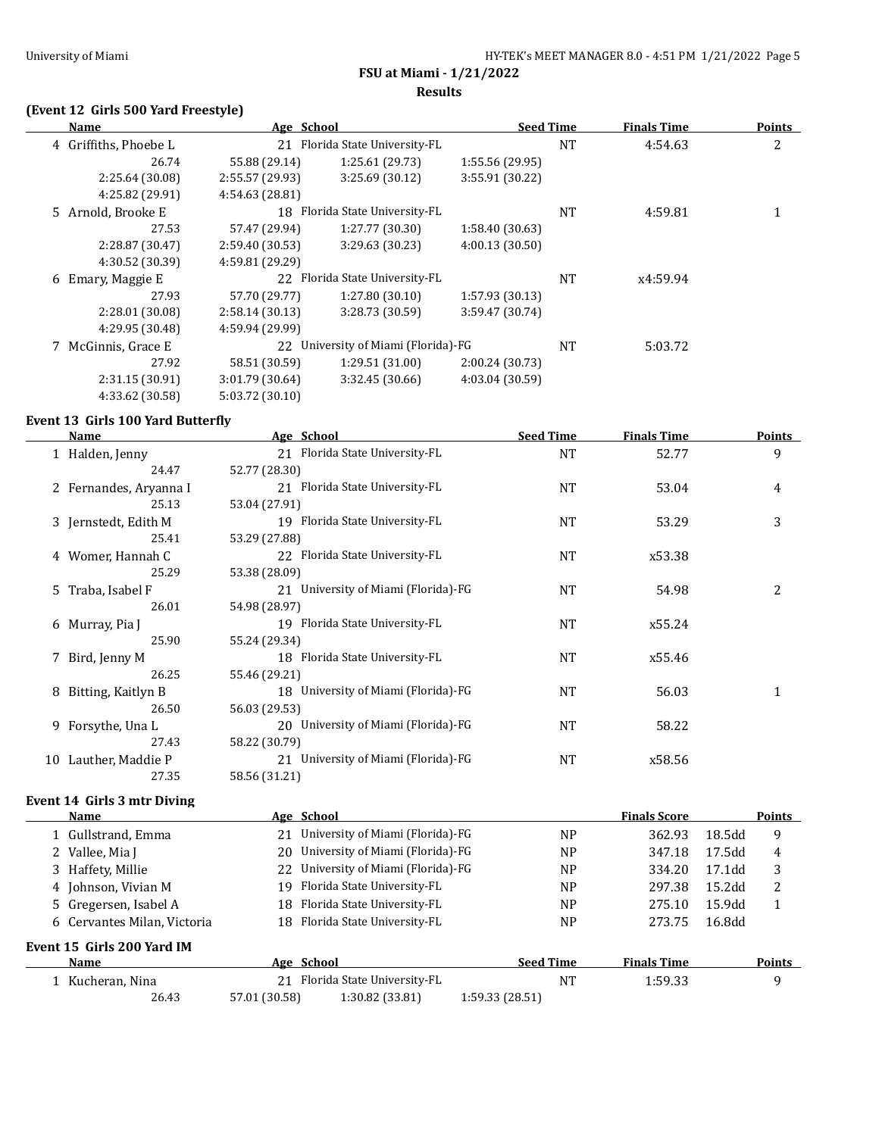**Results**

## **(Event 12 Girls 500 Yard Freestyle)**

| Name                  | Age School      |                                  | <b>Seed Time</b> |           | <b>Finals Time</b> | <b>Points</b> |
|-----------------------|-----------------|----------------------------------|------------------|-----------|--------------------|---------------|
| 4 Griffiths, Phoebe L | 21              | Florida State University-FL      |                  | <b>NT</b> | 4:54.63            | 2             |
| 26.74                 | 55.88 (29.14)   | 1:25.61(29.73)                   | 1:55.56 (29.95)  |           |                    |               |
| 2:25.64 (30.08)       | 2:55.57 (29.93) | 3:25.69 (30.12)                  | 3:55.91 (30.22)  |           |                    |               |
| 4:25.82 (29.91)       | 4:54.63 (28.81) |                                  |                  |           |                    |               |
| 5 Arnold. Brooke E    | 18              | Florida State University-FL      |                  | <b>NT</b> | 4:59.81            |               |
| 27.53                 | 57.47 (29.94)   | 1:27.77 (30.30)                  | 1:58.40(30.63)   |           |                    |               |
| 2:28.87 (30.47)       | 2:59.40 (30.53) | 3:29.63 (30.23)                  | 4:00.13(30.50)   |           |                    |               |
| 4:30.52 (30.39)       | 4:59.81 (29.29) |                                  |                  |           |                    |               |
| Emary, Maggie E<br>6  | 22              | Florida State University-FL      |                  | <b>NT</b> | x4:59.94           |               |
| 27.93                 | 57.70 (29.77)   | 1:27.80(30.10)                   | 1:57.93 (30.13)  |           |                    |               |
| 2:28.01 (30.08)       | 2:58.14(30.13)  | 3:28.73 (30.59)                  | 3:59.47 (30.74)  |           |                    |               |
| 4:29.95 (30.48)       | 4:59.94 (29.99) |                                  |                  |           |                    |               |
| 7 McGinnis, Grace E   | 22              | University of Miami (Florida)-FG |                  | <b>NT</b> | 5:03.72            |               |
| 27.92                 | 58.51 (30.59)   | 1:29.51(31.00)                   | 2:00.24(30.73)   |           |                    |               |
| 2:31.15 (30.91)       | 3:01.79 (30.64) | 3:32.45 (30.66)                  | 4:03.04 (30.59)  |           |                    |               |
| 4:33.62 (30.58)       | 5:03.72 (30.10) |                                  |                  |           |                    |               |

### **Event 13 Girls 100 Yard Butterfly**

|   | <b>Name</b>                 | Age School                          | <b>Seed Time</b> | <b>Finals Time</b>  | <b>Points</b> |
|---|-----------------------------|-------------------------------------|------------------|---------------------|---------------|
|   | 1 Halden, Jenny             | 21 Florida State University-FL      | <b>NT</b>        | 52.77               | 9             |
|   | 24.47                       | 52.77 (28.30)                       |                  |                     |               |
|   | 2 Fernandes, Aryanna I      | 21 Florida State University-FL      | <b>NT</b>        | 53.04               | 4             |
|   | 25.13                       | 53.04 (27.91)                       |                  |                     |               |
|   | 3 Jernstedt, Edith M        | 19 Florida State University-FL      | <b>NT</b>        | 53.29               | 3             |
|   | 25.41                       | 53.29 (27.88)                       |                  |                     |               |
|   | 4 Womer, Hannah C           | 22 Florida State University-FL      | NT               | x53.38              |               |
|   | 25.29                       | 53.38 (28.09)                       |                  |                     |               |
|   | 5 Traba, Isabel F           | 21 University of Miami (Florida)-FG | <b>NT</b>        | 54.98               | 2             |
|   | 26.01                       | 54.98 (28.97)                       |                  |                     |               |
|   | 6 Murray, Pia J             | 19 Florida State University-FL      | NT               | x55.24              |               |
|   | 25.90                       | 55.24 (29.34)                       |                  |                     |               |
|   | 7 Bird, Jenny M             | 18 Florida State University-FL      | <b>NT</b>        | x55.46              |               |
|   | 26.25                       | 55.46 (29.21)                       |                  |                     |               |
| 8 | Bitting, Kaitlyn B          | 18 University of Miami (Florida)-FG | NT               | 56.03               | $\mathbf{1}$  |
|   | 26.50                       | 56.03 (29.53)                       |                  |                     |               |
|   | 9 Forsythe, Una L           | 20 University of Miami (Florida)-FG | <b>NT</b>        | 58.22               |               |
|   | 27.43                       | 58.22 (30.79)                       |                  |                     |               |
|   | 10 Lauther, Maddie P        | 21 University of Miami (Florida)-FG | NT               | x58.56              |               |
|   | 27.35                       | 58.56 (31.21)                       |                  |                     |               |
|   | Event 14 Girls 3 mtr Diving |                                     |                  |                     |               |
|   | Name                        | Age School                          |                  | <b>Finals Score</b> | <b>Points</b> |
|   | 1 Gullstrand, Emma          | 21 University of Miami (Florida)-FG | NP               | 362.93              | 9<br>18.5dd   |

|                             | 1 Gullstrand, Emma          |               | University of Miami (Florida)-FG    |                  | <b>NP</b>      | 362.93             | 18.5dd | 9             |  |
|-----------------------------|-----------------------------|---------------|-------------------------------------|------------------|----------------|--------------------|--------|---------------|--|
|                             | 2 Vallee, Mia J             |               | 20 University of Miami (Florida)-FG |                  | N <sub>P</sub> | 347.18             | 17.5dd | 4             |  |
|                             | 3 Haffety, Millie           | 22            | University of Miami (Florida)-FG    |                  | <b>NP</b>      | 334.20             | 17.1dd | 3             |  |
|                             | 4 Johnson, Vivian M         | 19.           | Florida State University-FL         |                  | NP             | 297.38             | 15.2dd | 2             |  |
|                             | 5 Gregersen, Isabel A       |               | 18 Florida State University-FL      |                  | N <sub>P</sub> | 275.10             | 15.9dd | 1             |  |
|                             | 6 Cervantes Milan, Victoria |               | 18 Florida State University-FL      |                  | N <sub>P</sub> | 273.75             | 16.8dd |               |  |
| Event 15  Girls 200 Yard IM |                             |               |                                     |                  |                |                    |        |               |  |
|                             | <b>Name</b>                 |               | Age School                          | <b>Seed Time</b> |                | <b>Finals Time</b> |        | <b>Points</b> |  |
|                             | 1 Kucheran, Nina            | 21            | Florida State University-FL         |                  | NT             | 1:59.33            |        | 9             |  |
|                             | 26.43                       | 57.01 (30.58) | 1:30.82 (33.81)                     | 1:59.33 (28.51)  |                |                    |        |               |  |